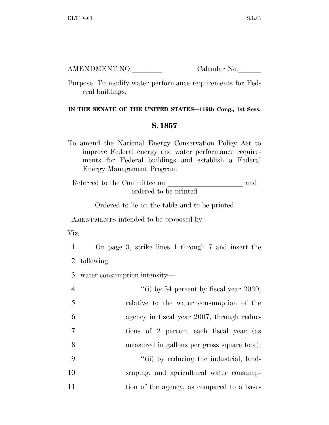AMENDMENT NO. Calendar No.

Purpose: To modify water performance requirements for Federal buildings.

## **IN THE SENATE OF THE UNITED STATES—116th Cong., 1st Sess.**

## **S. 1857**

To amend the National Energy Conservation Policy Act to improve Federal energy and water performance requirements for Federal buildings and establish a Federal Energy Management Program.

Referred to the Committee on  $\_\_$  and ordered to be printed

Ordered to lie on the table and to be printed

AMENDMENTS intended to be proposed by

Viz:

1 On page 3, strike lines 1 through 7 and insert the 2 following:

3 water consumption intensity—

| $\overline{4}$ | "(i) by 54 percent by fiscal year 2030,     |
|----------------|---------------------------------------------|
| 5              | relative to the water consumption of the    |
| 6              | agency in fiscal year 2007, through reduc-  |
| 7              | tions of 2 percent each fiscal year (as     |
| 8              | measured in gallons per gross square foot); |
| -9             | "(ii) by reducing the industrial, land-     |
| 10             | scaping, and agricultural water consump-    |
| 11             | tion of the agency, as compared to a base-  |
|                |                                             |